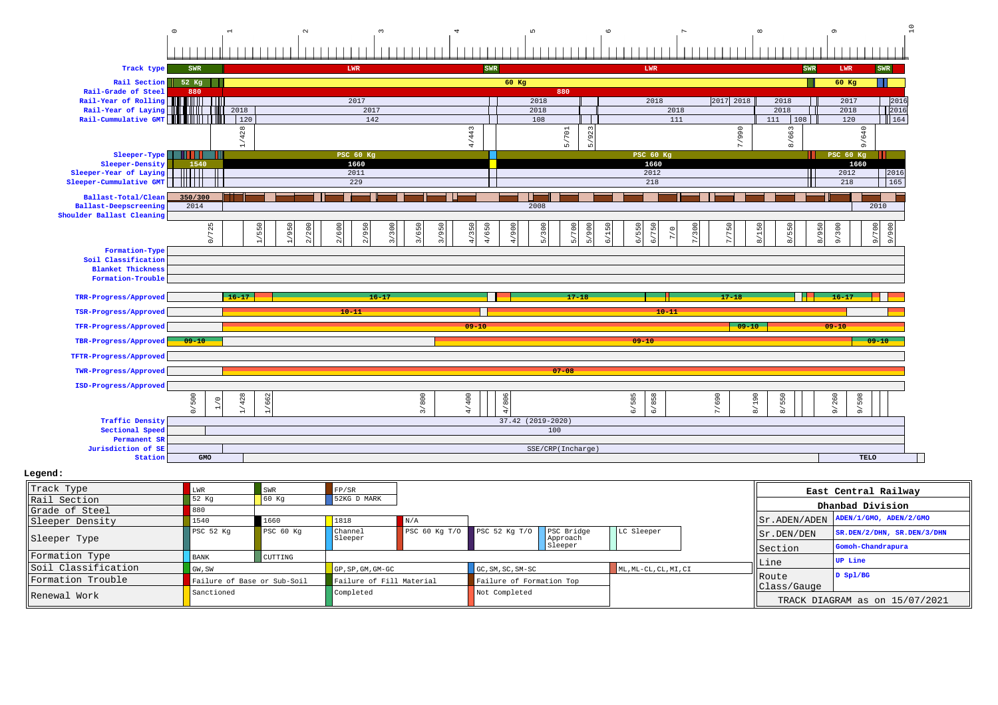## 0123456789 10

| Track type                                                   | SWR            |                                       |                            | LWR              |              | SWR                     |                                          |                                                            | LWR                            |                                    | <b>SWR</b>              | LWR                                      | SWR                              |  |
|--------------------------------------------------------------|----------------|---------------------------------------|----------------------------|------------------|--------------|-------------------------|------------------------------------------|------------------------------------------------------------|--------------------------------|------------------------------------|-------------------------|------------------------------------------|----------------------------------|--|
| Rail Section                                                 | 52 Kg          |                                       |                            |                  |              |                         | $60$ Kg                                  |                                                            |                                |                                    |                         | $60$ Kg                                  |                                  |  |
| Rail-Grade of Steel                                          | 880            |                                       |                            |                  |              |                         |                                          | 880                                                        |                                |                                    |                         |                                          |                                  |  |
| Rail-Year of Rolling <b>Following</b><br>Rail-Year of Laying |                | 2018                                  |                            | 2017<br>2017     |              |                         | 2018<br>2018                             |                                                            | 2018<br>2018                   | 2017 2018                          | 2018<br>2018            | 2017<br>2018                             | 2016<br>2016                     |  |
|                                                              |                | 120                                   |                            | 142              |              |                         | 108                                      |                                                            | 111                            |                                    | 111<br>108              | 120                                      | $164$                            |  |
|                                                              |                |                                       |                            |                  |              |                         |                                          | 23                                                         |                                |                                    |                         |                                          |                                  |  |
|                                                              |                | /428<br>$\overline{a}$                |                            |                  |              | /443<br>4               |                                          | $/701\,$<br>$\sigma$<br>$\mathsf{L}\Omega$<br>$\mathbf{r}$ |                                | /990<br>$\overline{ }$             | 8/663                   | /640<br>$\sigma$                         |                                  |  |
| Sleeper-Type                                                 | .              |                                       |                            | <b>PSC 60 Kg</b> |              |                         |                                          |                                                            | <b>PSC 60 Kg</b>               |                                    |                         | PSC 60 Kg                                |                                  |  |
| Sleeper-Density                                              | 1540           |                                       |                            | 1660             |              |                         |                                          |                                                            | 1660                           |                                    |                         | 1660                                     |                                  |  |
| $Sleeper-Year$ of Laying                                     | 111 I I I      |                                       |                            | 2011             |              |                         |                                          |                                                            | 2012                           |                                    |                         | 2012                                     | 2016<br>165                      |  |
| Sleeper-Cummulative GMT                                      | 11 I I I I     |                                       |                            | 229              |              |                         |                                          | 218<br>218                                                 |                                |                                    |                         |                                          |                                  |  |
| Ballast-Total/Clean                                          | 350/300        |                                       |                            |                  |              |                         |                                          |                                                            |                                |                                    |                         |                                          |                                  |  |
| Ballast-Deepscreening<br>Shoulder Ballast Cleaning           | 2014           |                                       |                            |                  |              |                         | 2008                                     |                                                            |                                |                                    |                         |                                          | 2010                             |  |
|                                                              |                |                                       |                            |                  |              |                         |                                          |                                                            |                                | $\circ$                            |                         |                                          |                                  |  |
|                                                              | 0/725          | 550                                   | 1/950<br>$200$<br>600      | 2/950            | 3/650<br>300 | 4/650<br>3/950<br>4/350 | 900<br>5/300<br>$\overline{\phantom{a}}$ | 5/700<br>5/900                                             | 6/150<br>6/550<br>750<br>$7/0$ | 300<br>$\overline{5}$<br>r.        | 8/150<br>8/550<br>8/950 | 9/300                                    | 700<br>900                       |  |
|                                                              |                |                                       | $\tilde{a}$<br>$\tilde{z}$ |                  |              |                         |                                          |                                                            | $\tilde{a}$                    |                                    |                         |                                          | $\frac{1}{\sqrt{2}}$<br>$\delta$ |  |
| Formation-Type<br>Soil Classification                        |                |                                       |                            |                  |              |                         |                                          |                                                            |                                |                                    |                         |                                          |                                  |  |
| <b>Blanket Thickness</b>                                     |                |                                       |                            |                  |              |                         |                                          |                                                            |                                |                                    |                         |                                          |                                  |  |
| Formation-Trouble                                            |                |                                       |                            |                  |              |                         |                                          |                                                            |                                |                                    |                         |                                          |                                  |  |
|                                                              |                | $16 - 17$                             |                            | $16 - 17$        |              |                         |                                          | $17 - 18$                                                  |                                | $17 - 18$                          |                         |                                          |                                  |  |
| TRR-Progress/Approved                                        |                |                                       |                            |                  |              |                         |                                          |                                                            |                                |                                    |                         | $16 - 17$                                |                                  |  |
| TSR-Progress/Approved                                        |                |                                       |                            | $10 - 11$        |              |                         |                                          |                                                            | $10 - 11$                      |                                    |                         |                                          |                                  |  |
| TFR-Progress/Approved                                        |                |                                       |                            |                  |              | $09 - 10$               |                                          |                                                            |                                | $09 - 10$                          |                         | $09 - 10$                                |                                  |  |
| TBR-Progress/Approved                                        | $09 - 10$      |                                       |                            |                  |              |                         |                                          |                                                            | $09 - 10$                      |                                    |                         |                                          | $09 - 10$                        |  |
| TFTR-Progress/Approved                                       |                |                                       |                            |                  |              |                         |                                          |                                                            |                                |                                    |                         |                                          |                                  |  |
| TWR-Progress/Approved                                        |                |                                       |                            |                  |              |                         |                                          | $07 - 08$                                                  |                                |                                    |                         |                                          |                                  |  |
| ISD-Progress/Approved                                        |                |                                       |                            |                  |              |                         |                                          |                                                            |                                |                                    |                         |                                          |                                  |  |
|                                                              | 500<br>$\circ$ | 428<br>662                            |                            |                  |              |                         |                                          |                                                            |                                | 690                                | 550                     | 260<br>598                               |                                  |  |
|                                                              | $\circ$        | ∼<br>$\overline{a}$<br>$\overline{a}$ |                            |                  | 3/800        | 4/400                   | 4/806                                    |                                                            | 6/585<br>6/858                 | $\overline{\phantom{a}}$<br>$\sim$ | 8/190<br>$\gtrsim$      | $\frac{1}{\alpha}$<br>$\frac{1}{\alpha}$ |                                  |  |
| <b>Traffic Density</b>                                       |                |                                       |                            |                  |              |                         | $37.42$ (2019-2020)                      |                                                            |                                |                                    |                         |                                          |                                  |  |
| Sectional Speed                                              |                |                                       |                            |                  |              |                         | 100                                      |                                                            |                                |                                    |                         |                                          |                                  |  |
| <b>Permanent SR</b><br>Jurisdiction of SE                    |                |                                       |                            |                  |              |                         |                                          |                                                            |                                |                                    |                         |                                          |                                  |  |
| Station                                                      | GMO            |                                       |                            |                  |              |                         |                                          | SSE/CRP(Incharge)                                          |                                |                                    |                         | TELO                                     |                                  |  |
|                                                              |                |                                       |                            |                  |              |                         |                                          |                                                            |                                |                                    |                         |                                          |                                  |  |

## **Legend:**

| Track Type          | MR.                         | SWR       | FP/SR                            |               |                          |                        |                       |  |                              | East Central Railway                          |  |
|---------------------|-----------------------------|-----------|----------------------------------|---------------|--------------------------|------------------------|-----------------------|--|------------------------------|-----------------------------------------------|--|
| Rail Section        | 52 Kg                       | 60 Kq     | 52KG D MARK                      |               |                          |                        |                       |  |                              | Dhanbad Division                              |  |
| Grade of Steel      |                             |           |                                  |               |                          |                        |                       |  |                              |                                               |  |
| Sleeper Density     | 1540                        | 1660      | 1818                             | N/A           |                          |                        |                       |  |                              | $  $ Sr. ADEN/ADEN $ $ ADEN/1/GMO, ADEN/2/GMO |  |
| Sleeper Type        | PSC 52 Kg                   | PSC 60 Kg | Channel<br>Sleeper               | PSC 60 Kq T/O | PSC 52 $KqT/0$           | PSC Bridge<br>Approach | LC Sleeper            |  | $\vert$ Sr. DEN/DEN          | $SR.DEN/2/DHN$ , $SR.DEN/3/DHN$               |  |
|                     |                             |           |                                  |               |                          | Sleeper                |                       |  | Section                      | Gomoh-Chandrapura                             |  |
| Formation Type      | <b>BANK</b>                 | CUTTING   |                                  |               |                          |                        |                       |  | Line                         | UP Line                                       |  |
| Soil Classification | GW, SW                      |           | $GP$ , $SP$ , $GM$ , $GM$ - $GC$ |               | GC, SM, SC, SM-SC        |                        | ML, ML-CL, CL, MI, CI |  | <b>IRoute</b><br>Class/Gauge | D Sp1/BG                                      |  |
| Formation Trouble   | Failure of Base or Sub-Soil |           | Failure of Fill Material         |               | Failure of Formation Top |                        |                       |  |                              |                                               |  |
| Renewal Work        | Sanctioned                  |           | Completed                        |               | Not Completed            |                        |                       |  |                              | TRACK DIAGRAM as on 15/07/2021                |  |